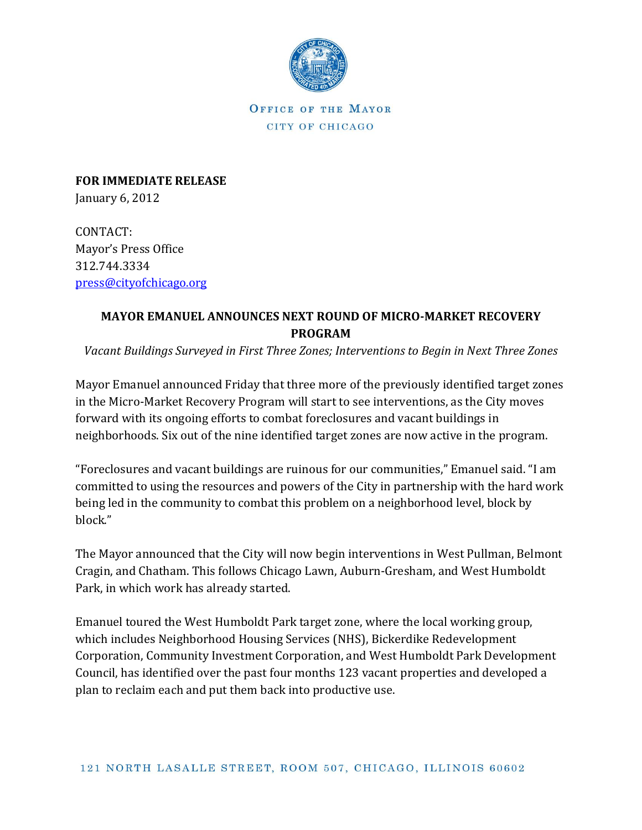

OFFICE OF THE MAYOR CITY OF CHICAGO

**FOR IMMEDIATE RELEASE** January 6, 2012

CONTACT: Mayor's Press Office 312.744.3334 [press@cityofchicago.org](mailto:press@cityofchicago.org)

## **MAYOR EMANUEL ANNOUNCES NEXT ROUND OF MICRO-MARKET RECOVERY PROGRAM**

*Vacant Buildings Surveyed in First Three Zones; Interventions to Begin in Next Three Zones*

Mayor Emanuel announced Friday that three more of the previously identified target zones in the Micro-Market Recovery Program will start to see interventions, as the City moves forward with its ongoing efforts to combat foreclosures and vacant buildings in neighborhoods. Six out of the nine identified target zones are now active in the program.

"Foreclosures and vacant buildings are ruinous for our communities," Emanuel said. "I am committed to using the resources and powers of the City in partnership with the hard work being led in the community to combat this problem on a neighborhood level, block by block."

The Mayor announced that the City will now begin interventions in West Pullman, Belmont Cragin, and Chatham. This follows Chicago Lawn, Auburn-Gresham, and West Humboldt Park, in which work has already started.

Emanuel toured the West Humboldt Park target zone, where the local working group, which includes Neighborhood Housing Services (NHS), Bickerdike Redevelopment Corporation, Community Investment Corporation, and West Humboldt Park Development Council, has identified over the past four months 123 vacant properties and developed a plan to reclaim each and put them back into productive use.